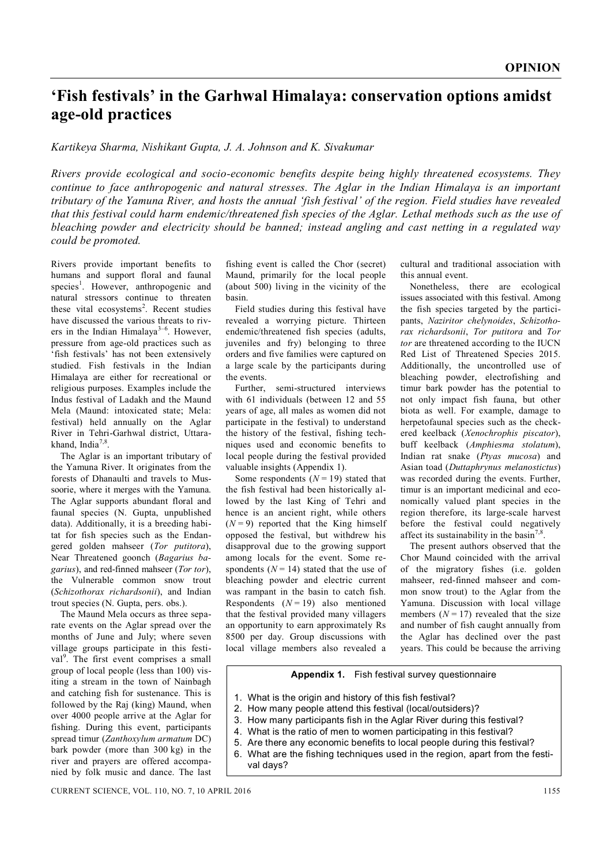## **'Fish festivals' in the Garhwal Himalaya: conservation options amidst age-old practices**

## *Kartikeya Sharma, Nishikant Gupta, J. A. Johnson and K. Sivakumar*

*Rivers provide ecological and socio-economic benefits despite being highly threatened ecosystems. They continue to face anthropogenic and natural stresses. The Aglar in the Indian Himalaya is an important tributary of the Yamuna River, and hosts the annual 'fish festival' of the region. Field studies have revealed that this festival could harm endemic/threatened fish species of the Aglar. Lethal methods such as the use of bleaching powder and electricity should be banned; instead angling and cast netting in a regulated way could be promoted.*

Rivers provide important benefits to humans and support floral and faunal species<sup>1</sup>. However, anthropogenic and natural stressors continue to threaten these vital ecosystems<sup>2</sup>. Recent studies have discussed the various threats to rivers in the Indian Himalaya<sup>3-6</sup>. However, pressure from age-old practices such as 'fish festivals' has not been extensively studied. Fish festivals in the Indian Himalaya are either for recreational or religious purposes. Examples include the Indus festival of Ladakh and the Maund Mela (Maund: intoxicated state; Mela: festival) held annually on the Aglar River in Tehri-Garhwal district, Uttarakhand, India<sup>7,8</sup> .

The Aglar is an important tributary of the Yamuna River. It originates from the forests of Dhanaulti and travels to Mussoorie, where it merges with the Yamuna. The Aglar supports abundant floral and faunal species (N. Gupta, unpublished data). Additionally, it is a breeding habitat for fish species such as the Endangered golden mahseer (*Tor putitora*), Near Threatened goonch (*Bagarius bagarius*), and red-finned mahseer (*Tor tor*), the Vulnerable common snow trout (*Schizothorax richardsonii*), and Indian trout species (N. Gupta, pers. obs.).

The Maund Mela occurs as three separate events on the Aglar spread over the months of June and July; where seven village groups participate in this festival<sup>9</sup>. The first event comprises a small group of local people (less than 100) visiting a stream in the town of Nainbagh and catching fish for sustenance. This is followed by the Raj (king) Maund, when over 4000 people arrive at the Aglar for fishing. During this event, participants spread timur (*Zanthoxylum armatum* DC) bark powder (more than 300 kg) in the river and prayers are offered accompanied by folk music and dance. The last

fishing event is called the Chor (secret) Maund, primarily for the local people (about 500) living in the vicinity of the basin.

Field studies during this festival have revealed a worrying picture. Thirteen endemic/threatened fish species (adults, juveniles and fry) belonging to three orders and five families were captured on a large scale by the participants during the events.

Further, semi-structured interviews with 61 individuals (between 12 and 55 years of age, all males as women did not participate in the festival) to understand the history of the festival, fishing techniques used and economic benefits to local people during the festival provided valuable insights (Appendix 1).

Some respondents  $(N = 19)$  stated that the fish festival had been historically allowed by the last King of Tehri and hence is an ancient right, while others  $(N=9)$  reported that the King himself opposed the festival, but withdrew his disapproval due to the growing support among locals for the event. Some respondents  $(N = 14)$  stated that the use of bleaching powder and electric current was rampant in the basin to catch fish. Respondents  $(N=19)$  also mentioned that the festival provided many villagers an opportunity to earn approximately Rs 8500 per day. Group discussions with local village members also revealed a

cultural and traditional association with this annual event.

Nonetheless, there are ecological issues associated with this festival. Among the fish species targeted by the participants, *Naziritor chelynoides*, *Schizothorax richardsonii*, *Tor putitora* and *Tor tor* are threatened according to the IUCN Red List of Threatened Species 2015. Additionally, the uncontrolled use of bleaching powder, electrofishing and timur bark powder has the potential to not only impact fish fauna, but other biota as well. For example, damage to herpetofaunal species such as the checkered keelback (*Xenochrophis piscator*), buff keelback (*Amphiesma stolatum*), Indian rat snake (*Ptyas mucosa*) and Asian toad (*Duttaphrynus melanostictus*) was recorded during the events. Further, timur is an important medicinal and economically valued plant species in the region therefore, its large-scale harvest before the festival could negatively affect its sustainability in the basin<sup>7,8</sup> .

The present authors observed that the Chor Maund coincided with the arrival of the migratory fishes (i.e. golden mahseer, red-finned mahseer and common snow trout) to the Aglar from the Yamuna. Discussion with local village members  $(N = 17)$  revealed that the size and number of fish caught annually from the Aglar has declined over the past years. This could be because the arriving

## **Appendix 1.** Fish festival survey questionnaire

- 1. What is the origin and history of this fish festival?
- 2. How many people attend this festival (local/outsiders)?
- 3. How many participants fish in the Aglar River during this festival?
- 4. What is the ratio of men to women participating in this festival?
- 5. Are there any economic benefits to local people during this festival?
- 6. What are the fishing techniques used in the region, apart from the festival days?

CURRENT SCIENCE, VOL. 110, NO. 7, 10 APRIL 2016 1155